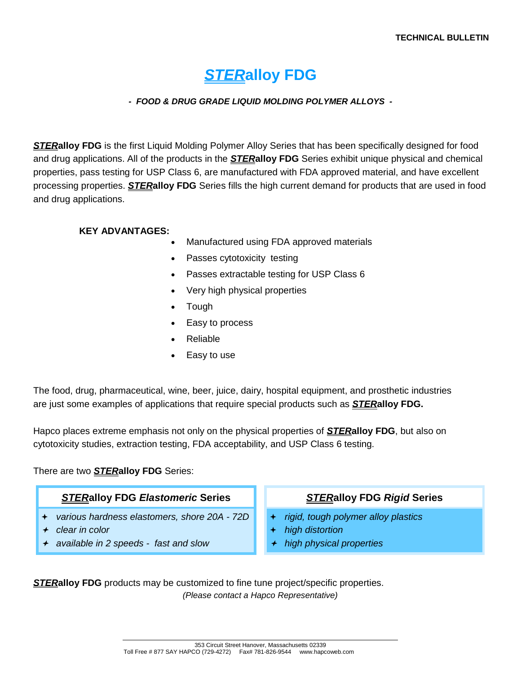# *STER***alloy FDG**

#### *- FOOD & DRUG GRADE LIQUID MOLDING POLYMER ALLOYS -*

*STER***alloy FDG** is the first Liquid Molding Polymer Alloy Series that has been specifically designed for food and drug applications. All of the products in the *STER***alloy FDG** Series exhibit unique physical and chemical properties, pass testing for USP Class 6, are manufactured with FDA approved material, and have excellent processing properties. *STER***alloy FDG** Series fills the high current demand for products that are used in food and drug applications.

#### **KEY ADVANTAGES:**

- Manufactured using FDA approved materials
- Passes cytotoxicity testing
- Passes extractable testing for USP Class 6
- Very high physical properties
- Tough
- Easy to process
- Reliable
- Easy to use

The food, drug, pharmaceutical, wine, beer, juice, dairy, hospital equipment, and prosthetic industries are just some examples of applications that require special products such as *STER***alloy FDG.** 

Hapco places extreme emphasis not only on the physical properties of *STER***alloy FDG**, but also on cytotoxicity studies, extraction testing, FDA acceptability, and USP Class 6 testing.

#### There are two *STER***alloy FDG** Series:

#### *STER***alloy FDG** *Elastomeric* **Series**

- *various hardness elastomers, shore 20A 72D*
- *clear in color*
- *available in 2 speeds fast and slow*

#### *STER***alloy FDG** *Rigid* **Series**

- *rigid, tough polymer alloy plastics*
- *high distortion*
- *high physical properties*

*STER***alloy FDG** products may be customized to fine tune project/specific properties. *(Please contact a Hapco Representative)*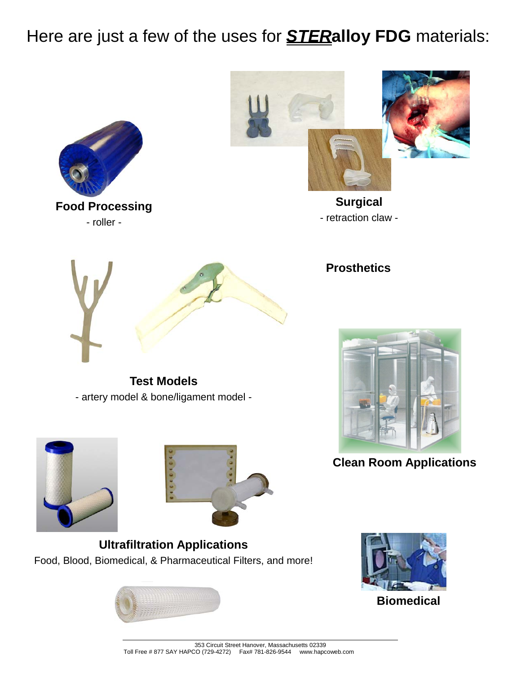Here are just a few of the uses for *STER***alloy FDG** materials:





**Surgical**  - retraction claw -

**Prosthetics**



**Clean Room Applications**

**Ultrafiltration Applications**  Food, Blood, Biomedical, & Pharmaceutical Filters, and more!





**Biomedical**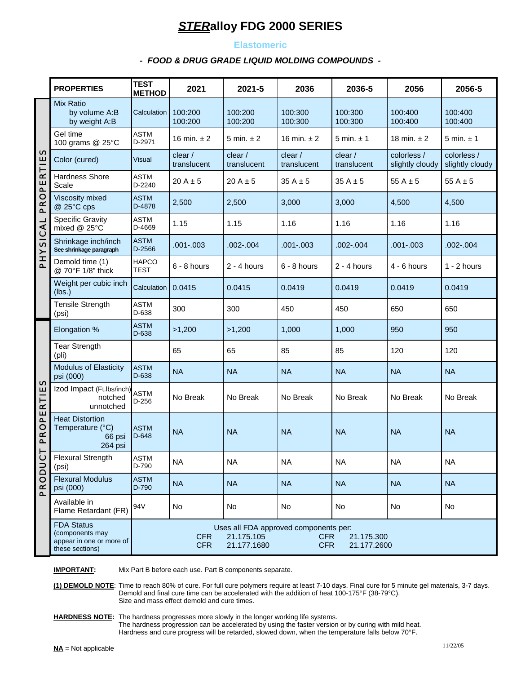#### **Elastomeric**

#### *- FOOD & DRUG GRADE LIQUID MOLDING COMPOUNDS -*

|                            | <b>PROPERTIES</b>                                                                   | <b>TEST</b><br><b>METHOD</b>                                                                                                                            | 2021                   | 2021-5                | 2036                   | 2036-5                 | 2056                           | 2056-5                         |  |  |
|----------------------------|-------------------------------------------------------------------------------------|---------------------------------------------------------------------------------------------------------------------------------------------------------|------------------------|-----------------------|------------------------|------------------------|--------------------------------|--------------------------------|--|--|
| n<br>PROPERTIE             | Mix Ratio<br>by volume A:B<br>by weight A:B                                         | Calculation                                                                                                                                             | 100:200<br>100:200     | 100:200<br>100:200    | 100:300<br>100:300     | 100:300<br>100:300     | 100:400<br>100:400             | 100:400<br>100:400             |  |  |
|                            | Gel time<br>100 grams @ 25°C                                                        | <b>ASTM</b><br>D-2971                                                                                                                                   | 16 min. $± 2$          | 5 min. $\pm$ 2        | 16 min. $\pm 2$        | 5 min. $\pm$ 1         | 18 min. $\pm 2$                | 5 min. $\pm$ 1                 |  |  |
|                            | Color (cured)                                                                       | Visual                                                                                                                                                  | clear /<br>translucent | clear/<br>translucent | clear /<br>translucent | clear /<br>translucent | colorless /<br>slightly cloudy | colorless /<br>slightly cloudy |  |  |
|                            | Hardness Shore<br>Scale                                                             | <b>ASTM</b><br>D-2240                                                                                                                                   | $20A \pm 5$            | $20A \pm 5$           | $35A \pm 5$            | $35A \pm 5$            | 55 A $\pm$ 5                   | 55 A $\pm$ 5                   |  |  |
|                            | Viscosity mixed<br>@ 25°C cps                                                       | <b>ASTM</b><br>D-4878                                                                                                                                   | 2,500                  | 2,500                 | 3,000                  | 3,000                  | 4,500                          | 4,500                          |  |  |
|                            | <b>Specific Gravity</b><br>mixed @ 25°C                                             | <b>ASTM</b><br>D-4669                                                                                                                                   | 1.15                   | 1.15                  | 1.16                   | 1.16                   | 1.16                           | 1.16                           |  |  |
| PHYSICAL                   | Shrinkage inch/inch<br>See shrinkage paragraph                                      | <b>ASTM</b><br>D-2566                                                                                                                                   | $.001 - .003$          | $.002-.004$           | $.001 - .003$          | $.002 - .004$          | $.001 - .003$                  | $.002 - .004$                  |  |  |
|                            | Demold time (1)<br>@ 70°F 1/8" thick                                                | <b>HAPCO</b><br><b>TEST</b>                                                                                                                             | $6 - 8$ hours          | $2 - 4$ hours         | $6 - 8$ hours          | $2 - 4$ hours          | $4 - 6$ hours                  | $1 - 2$ hours                  |  |  |
|                            | Weight per cubic inch<br>(lbs.)                                                     | Calculation 0.0415                                                                                                                                      |                        | 0.0415                | 0.0419                 | 0.0419                 | 0.0419                         | 0.0419                         |  |  |
|                            | <b>Tensile Strength</b><br>(psi)                                                    | <b>ASTM</b><br>D-638                                                                                                                                    | 300                    | 300                   | 450                    | 450                    | 650                            | 650                            |  |  |
|                            | Elongation %                                                                        | <b>ASTM</b><br>D-638                                                                                                                                    | >1,200                 | >1,200                | 1,000                  | 1,000                  | 950                            | 950                            |  |  |
|                            | <b>Tear Strength</b><br>(pli)                                                       |                                                                                                                                                         | 65                     | 65                    | 85                     | 85                     | 120                            | 120                            |  |  |
| n<br><b>PROPERTIE</b><br>L | Modulus of Elasticity<br>psi (000)                                                  | <b>ASTM</b><br>$D-638$                                                                                                                                  | <b>NA</b>              | <b>NA</b>             | <b>NA</b>              | <b>NA</b>              | <b>NA</b>                      | <b>NA</b>                      |  |  |
|                            | Izod Impact (Ft.Ibs/inch) ASTM<br>notched<br>unnotched                              | $D-256$                                                                                                                                                 | No Break               | No Break              | No Break               | No Break               | No Break                       | No Break                       |  |  |
|                            | <b>Heat Distortion</b><br>Temperature (°C)<br>66 psi<br>264 psi                     | <b>ASTM</b><br>D-648                                                                                                                                    | <b>NA</b>              | <b>NA</b>             | <b>NA</b>              | <b>NA</b>              | <b>NA</b>                      | <b>NA</b>                      |  |  |
|                            | Flexural Strength<br>(psi)                                                          | <b>ASTM</b><br>D-790                                                                                                                                    | <b>NA</b>              | <b>NA</b>             | <b>NA</b>              | <b>NA</b>              | <b>NA</b>                      | <b>NA</b>                      |  |  |
| PRODUC                     | <b>Flexural Modulus</b><br>psi (000)                                                | <b>ASTM</b><br>D-790                                                                                                                                    | <b>NA</b>              | <b>NA</b>             | <b>NA</b>              | <b>NA</b>              | <b>NA</b>                      | <b>NA</b>                      |  |  |
|                            | Available in<br>Flame Retardant (FR)                                                | 94V                                                                                                                                                     | No                     | <b>No</b>             | No                     | <b>No</b>              | No                             | No                             |  |  |
|                            | <b>FDA Status</b><br>(components may<br>appear in one or more of<br>these sections) | Uses all FDA approved components per:<br><b>CFR</b><br>21.175.105<br><b>CFR</b><br>21.175.300<br><b>CFR</b><br>21.177.1680<br><b>CFR</b><br>21.177.2600 |                        |                       |                        |                        |                                |                                |  |  |

**IMPORTANT:** Mix Part B before each use. Part B components separate.

**(1) DEMOLD NOTE**: Time to reach 80% of cure. For full cure polymers require at least 7-10 days. Final cure for 5 minute gel materials, 3-7 days. Demold and final cure time can be accelerated with the addition of heat 100-175°F (38-79°C). Size and mass effect demold and cure times.

**HARDNESS NOTE:** The hardness progresses more slowly in the longer working life systems. The hardness progression can be accelerated by using the faster version or by curing with mild heat. Hardness and cure progress will be retarded, slowed down, when the temperature falls below 70°F.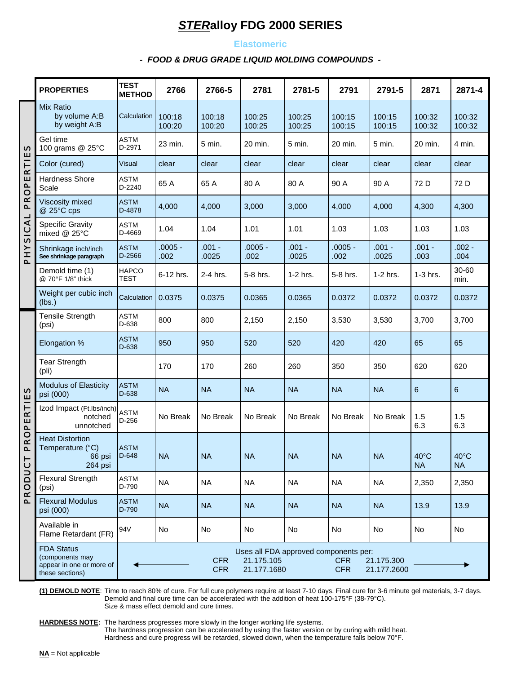#### **Elastomeric**

#### *- FOOD & DRUG GRADE LIQUID MOLDING COMPOUNDS -*

|                       | <b>PROPERTIES</b>                                                                                                                                                                        | <b>TEST</b><br><b>METHOD</b>                                                                                                                            | 2766              | 2766-5            | 2781              | 2781-5            | 2791              | 2791-5            | 2871                        | 2871-4                      |
|-----------------------|------------------------------------------------------------------------------------------------------------------------------------------------------------------------------------------|---------------------------------------------------------------------------------------------------------------------------------------------------------|-------------------|-------------------|-------------------|-------------------|-------------------|-------------------|-----------------------------|-----------------------------|
| PROPERTIES            | Mix Ratio<br>by volume A:B<br>by weight A:B                                                                                                                                              | Calculation                                                                                                                                             | 100:18<br>100:20  | 100:18<br>100:20  | 100:25<br>100:25  | 100:25<br>100:25  | 100:15<br>100:15  | 100:15<br>100:15  | 100:32<br>100:32            | 100:32<br>100:32            |
|                       | Gel time<br>100 grams @ 25°C                                                                                                                                                             | <b>ASTM</b><br>D-2971                                                                                                                                   | 23 min.           | 5 min.            | 20 min.           | 5 min.            | 20 min.           | 5 min.            | 20 min.                     | 4 min.                      |
|                       | Color (cured)                                                                                                                                                                            | <b>Visual</b>                                                                                                                                           | clear             | clear             | clear             | clear             | clear             | clear             | clear                       | clear                       |
|                       | <b>Hardness Shore</b><br>Scale                                                                                                                                                           | <b>ASTM</b><br>D-2240                                                                                                                                   | 65 A              | 65 A              | 80 A              | 80 A              | 90 A              | 90 A              | 72 D                        | 72 D                        |
|                       | Viscosity mixed<br>@ 25°C cps                                                                                                                                                            | <b>ASTM</b><br>D-4878                                                                                                                                   | 4,000             | 4,000             | 3,000             | 3,000             | 4,000             | 4,000             | 4,300                       | 4,300                       |
| PHYSICAL              | <b>Specific Gravity</b><br>mixed @ 25°C                                                                                                                                                  | <b>ASTM</b><br>D-4669                                                                                                                                   | 1.04              | 1.04              | 1.01              | 1.01              | 1.03              | 1.03              | 1.03                        | 1.03                        |
|                       | Shrinkage inch/inch<br>See shrinkage paragraph                                                                                                                                           | <b>ASTM</b><br>D-2566                                                                                                                                   | $.0005 -$<br>.002 | $.001 -$<br>.0025 | $.0005 -$<br>.002 | $.001 -$<br>.0025 | $.0005 -$<br>.002 | $.001 -$<br>.0025 | $.001 -$<br>.003            | $.002 -$<br>.004            |
|                       | Demold time (1)<br>@ 70°F 1/8" thick                                                                                                                                                     | <b>HAPCO</b><br><b>TEST</b>                                                                                                                             | 6-12 hrs.         | 2-4 hrs.          | 5-8 hrs.          | 1-2 hrs.          | 5-8 hrs.          | 1-2 hrs.          | $1-3$ hrs.                  | 30-60<br>min.               |
|                       | Weight per cubic inch<br>(lbs.)                                                                                                                                                          | Calculation                                                                                                                                             | 0.0375            | 0.0375            | 0.0365            | 0.0365            | 0.0372            | 0.0372            | 0.0372                      | 0.0372                      |
|                       | <b>Tensile Strength</b><br>(psi)                                                                                                                                                         | <b>ASTM</b><br>D-638                                                                                                                                    | 800               | 800               | 2,150             | 2,150             | 3,530             | 3,530             | 3,700                       | 3,700                       |
|                       | Elongation %                                                                                                                                                                             | <b>ASTM</b><br>D-638                                                                                                                                    | 950               | 950               | 520               | 520               | 420               | 420               | 65                          | 65                          |
|                       | <b>Tear Strength</b><br>(pli)                                                                                                                                                            |                                                                                                                                                         | 170               | 170               | 260               | 260               | 350               | 350               | 620                         | 620                         |
| PROPERTIES<br>PRODUC1 | <b>Modulus of Elasticity</b><br>psi (000)                                                                                                                                                | <b>ASTM</b><br>D-638                                                                                                                                    | <b>NA</b>         | <b>NA</b>         | <b>NA</b>         | <b>NA</b>         | <b>NA</b>         | <b>NA</b>         | 6                           | $6\phantom{1}$              |
|                       | Izod Impact (Ft.Ibs/inch)<br>notched<br>unnotched                                                                                                                                        | <b>ASTM</b><br>$D-256$                                                                                                                                  | No Break          | No Break          | No Break          | No Break          | No Break          | No Break          | 1.5<br>6.3                  | 1.5<br>6.3                  |
|                       | <b>Heat Distortion</b><br>Temperature (°C)<br>66 psi<br><b>Contract Contract Contract Contract Contract Contract Contract Contract Contract Contract Contract Contract Co</b><br>264 psi | <b>ASTM</b><br>$D-648$                                                                                                                                  | <b>NA</b>         | <b>NA</b>         | <b>NA</b>         | <b>NA</b>         | <b>NA</b>         | <b>NA</b>         | $40^{\circ}$ C<br><b>NA</b> | $40^{\circ}$ C<br><b>NA</b> |
|                       | <b>Flexural Strength</b><br>(psi)                                                                                                                                                        | <b>ASTM</b><br>D-790                                                                                                                                    | <b>NA</b>         | <b>NA</b>         | <b>NA</b>         | <b>NA</b>         | <b>NA</b>         | <b>NA</b>         | 2,350                       | 2,350                       |
|                       | <b>Flexural Modulus</b><br>psi (000)                                                                                                                                                     | <b>ASTM</b><br>D-790                                                                                                                                    | <b>NA</b>         | <b>NA</b>         | <b>NA</b>         | <b>NA</b>         | <b>NA</b>         | <b>NA</b>         | 13.9                        | 13.9                        |
|                       | Available in<br>Flame Retardant (FR)                                                                                                                                                     | 94V                                                                                                                                                     | No                | No                | No                | No                | No                | No                | No                          | No                          |
|                       | <b>FDA Status</b><br>(components may<br>appear in one or more of<br>these sections)                                                                                                      | Uses all FDA approved components per:<br><b>CFR</b><br>21.175.105<br><b>CFR</b><br>21.175.300<br><b>CFR</b><br><b>CFR</b><br>21.177.1680<br>21.177.2600 |                   |                   |                   |                   |                   |                   |                             |                             |

**(1) DEMOLD NOTE**: Time to reach 80% of cure. For full cure polymers require at least 7-10 days. Final cure for 3-6 minute gel materials, 3-7 days. Demold and final cure time can be accelerated with the addition of heat 100-175°F (38-79°C). Size & mass effect demold and cure times.

**HARDNESS NOTE:** The hardness progresses more slowly in the longer working life systems. The hardness progression can be accelerated by using the faster version or by curing with mild heat. Hardness and cure progress will be retarded, slowed down, when the temperature falls below 70°F.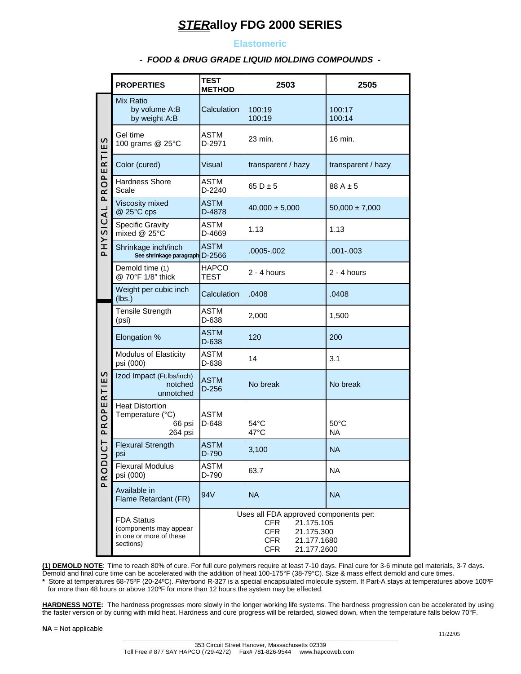#### **Elastomeric**

#### *- FOOD & DRUG GRADE LIQUID MOLDING COMPOUNDS -*

|                     | <b>PROPERTIES</b>                                                                                                                                                                                                                                                                                                                                                                                                                                                           | <b>TEST</b><br><b>METHOD</b>                 | 2503                   | 2505                 |  |  |  |
|---------------------|-----------------------------------------------------------------------------------------------------------------------------------------------------------------------------------------------------------------------------------------------------------------------------------------------------------------------------------------------------------------------------------------------------------------------------------------------------------------------------|----------------------------------------------|------------------------|----------------------|--|--|--|
|                     | Mix Ratio<br>by volume A:B<br>by weight A:B                                                                                                                                                                                                                                                                                                                                                                                                                                 | Calculation                                  | 100:19<br>100:19       | 100:17<br>100:14     |  |  |  |
|                     | Gel time<br>100 grams @ 25°C                                                                                                                                                                                                                                                                                                                                                                                                                                                | ASTM<br>D-2971                               | 23 min.                | 16 min.              |  |  |  |
|                     | Color (cured)                                                                                                                                                                                                                                                                                                                                                                                                                                                               | Visual                                       | transparent / hazy     | transparent / hazy   |  |  |  |
| <b>PROPERTIES</b>   | Hardness Shore<br>Scale                                                                                                                                                                                                                                                                                                                                                                                                                                                     | <b>ASTM</b><br>D-2240                        | 65 D $\pm$ 5           | $88A \pm 5$          |  |  |  |
|                     | Viscosity mixed<br>@ 25°C cps                                                                                                                                                                                                                                                                                                                                                                                                                                               | <b>ASTM</b><br>D-4878                        | $40,000 \pm 5,000$     | $50,000 \pm 7,000$   |  |  |  |
| PHYSICAL            | <b>Specific Gravity</b><br>ASTM<br>1.13<br>mixed @ 25°C<br>D-4669                                                                                                                                                                                                                                                                                                                                                                                                           |                                              |                        | 1.13                 |  |  |  |
|                     | Shrinkage inch/inch<br>See shrinkage paragraph D-2566                                                                                                                                                                                                                                                                                                                                                                                                                       | <b>ASTM</b>                                  | .0005-.002             | $.001 - .003$        |  |  |  |
|                     | Demold time (1)<br>@ 70°F 1/8" thick                                                                                                                                                                                                                                                                                                                                                                                                                                        | <b>HAPCO</b><br>$2 - 4$ hours<br><b>TEST</b> |                        | 2 - 4 hours          |  |  |  |
|                     | Weight per cubic inch<br>(lbs.)                                                                                                                                                                                                                                                                                                                                                                                                                                             | Calculation                                  | .0408                  | .0408                |  |  |  |
|                     | <b>Tensile Strength</b><br>(psi)                                                                                                                                                                                                                                                                                                                                                                                                                                            | ASTM<br>D-638                                | 2,000                  | 1,500                |  |  |  |
|                     | Elongation %                                                                                                                                                                                                                                                                                                                                                                                                                                                                | <b>ASTM</b><br>120<br>D-638                  |                        | 200                  |  |  |  |
|                     | Modulus of Elasticity<br>psi (000)                                                                                                                                                                                                                                                                                                                                                                                                                                          | <b>ASTM</b><br>D-638                         | 14                     | 3.1                  |  |  |  |
|                     | Izod Impact (Ft.Ibs/inch)<br>notched<br>unnotched                                                                                                                                                                                                                                                                                                                                                                                                                           | <b>ASTM</b><br>$D-256$                       | No break               | No break             |  |  |  |
| PROPERTIES          | <b>Heat Distortion</b><br>Temperature (°C)<br>66 psi<br>264 psi                                                                                                                                                                                                                                                                                                                                                                                                             | <b>ASTM</b><br>D-648                         | $54^{\circ}$ C<br>47°C | $50^{\circ}$ C<br>NA |  |  |  |
| ト<br>ں              | <b>Flexural Strength</b><br>psi                                                                                                                                                                                                                                                                                                                                                                                                                                             | <b>ASTM</b><br>D-790                         | 3,100                  | <b>NA</b>            |  |  |  |
| PRODU               | <b>Flexural Modulus</b><br>psi (000)                                                                                                                                                                                                                                                                                                                                                                                                                                        | ASTM<br>D-790                                | 63.7                   | <b>NA</b>            |  |  |  |
|                     | Available in<br>Flame Retardant (FR)                                                                                                                                                                                                                                                                                                                                                                                                                                        | <b>NA</b><br>94V                             |                        | <b>NA</b>            |  |  |  |
|                     | Uses all FDA approved components per:<br><b>FDA Status</b><br><b>CFR</b><br>21.175.105<br>(components may appear<br><b>CFR</b><br>21.175.300<br>in one or more of these<br><b>CFR</b><br>21.177.1680<br>sections)<br><b>CFR</b><br>21.177.2600                                                                                                                                                                                                                              |                                              |                        |                      |  |  |  |
|                     | (1) DEMOLD NOTE: Time to reach 80% of cure. For full cure polymers require at least 7-10 days. Final cure for 3-6 minut<br>Demold and final cure time can be accelerated with the addition of heat 100-175°F (38-79°C). Size & mass effect demold a<br>* Store at temperatures 68-75ºF (20-24ºC). Filterbond R-327 is a special encapsulated molecule system. If Part-A stays a<br>for more than 48 hours or above 120°F for more than 12 hours the system may be effected. |                                              |                        |                      |  |  |  |
|                     | HARDNESS NOTE: The hardness progresses more slowly in the longer working life systems. The hardness progression<br>the faster version or by curing with mild heat. Hardness and cure progress will be retarded, slowed down, when the tempe                                                                                                                                                                                                                                 |                                              |                        |                      |  |  |  |
| NA = Not applicable |                                                                                                                                                                                                                                                                                                                                                                                                                                                                             |                                              |                        |                      |  |  |  |

**(1) DEMOLD NOTE**: Time to reach 80% of cure. For full cure polymers require at least 7-10 days. Final cure for 3-6 minute gel materials, 3-7 days. Demold and final cure time can be accelerated with the addition of heat 100-175°F (38-79°C). Size & mass effect demold and cure times.

**\*** Store at temperatures 68-75ºF (20-24ºC). *Filter*bond R-327 is a special encapsulated molecule system. If Part-A stays at temperatures above 100ºF for more than 48 hours or above 120ºF for more than 12 hours the system may be effected.

**HARDNESS NOTE:** The hardness progresses more slowly in the longer working life systems. The hardness progression can be accelerated by using the faster version or by curing with mild heat. Hardness and cure progress will be retarded, slowed down, when the temperature falls below 70°F.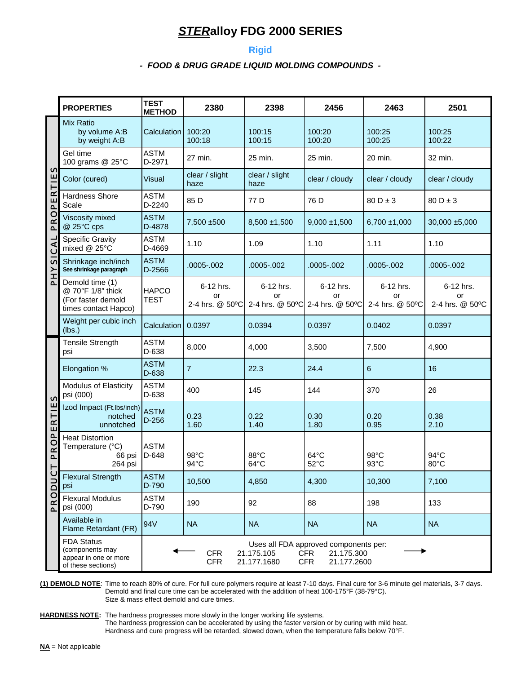#### **Rigid**

#### *- FOOD & DRUG GRADE LIQUID MOLDING COMPOUNDS -*

|                 | <b>TEST</b><br><b>PROPERTIES</b><br><b>METHOD</b>                                   |                                                                                                                                                         | 2380                               | 2398                   | 2456                                               | 2463                               | 2501                               |  |
|-----------------|-------------------------------------------------------------------------------------|---------------------------------------------------------------------------------------------------------------------------------------------------------|------------------------------------|------------------------|----------------------------------------------------|------------------------------------|------------------------------------|--|
|                 | <b>Mix Ratio</b><br>by volume A:B<br>by weight A:B                                  | Calculation                                                                                                                                             | 100:20<br>100:18                   | 100:15<br>100:15       | 100:20<br>100:20                                   | 100:25<br>100:25                   | 100:25<br>100:22                   |  |
|                 | Gel time<br>100 grams @ 25°C                                                        | <b>ASTM</b><br>D-2971                                                                                                                                   | 27 min.                            | 25 min.                | 25 min.                                            | 20 min.                            | 32 min.                            |  |
| <b>S</b><br>FIE | Color (cured)                                                                       | <b>Visual</b>                                                                                                                                           | clear / slight<br>haze             | clear / slight<br>haze | clear / cloudy                                     | clear / cloudy                     | clear / cloudy                     |  |
| <b>ROPER</b>    | <b>Hardness Shore</b><br>Scale                                                      | <b>ASTM</b><br>D-2240                                                                                                                                   | 85 D                               | 77 D                   | 76 D                                               | $80D \pm 3$                        | $80D \pm 3$                        |  |
| Q               | Viscosity mixed<br>@ 25°C cps                                                       | <b>ASTM</b><br>D-4878                                                                                                                                   | 7,500 ±500                         | $8,500 \pm 1,500$      | $9,000 \pm 1,500$                                  | $6,700 \pm 1,000$                  | $30,000 \pm 5,000$                 |  |
|                 | <b>Specific Gravity</b><br>mixed @ 25°C                                             | <b>ASTM</b><br>D-4669                                                                                                                                   | 1.10                               | 1.09                   | 1.10                                               | 1.11                               | 1.10                               |  |
| PHYSICAL        | Shrinkage inch/inch<br>See shrinkage paragraph                                      | <b>ASTM</b><br>D-2566                                                                                                                                   | .0005-.002                         | .0005-.002             | .0005-.002                                         | $.0005 - .002$                     | .0005-.002                         |  |
|                 | Demold time (1)<br>@ 70°F 1/8" thick<br>(For faster demold<br>times contact Hapco)  | <b>HAPCO</b><br><b>TEST</b>                                                                                                                             | 6-12 hrs.<br>or<br>2-4 hrs. @ 50°C | 6-12 hrs.<br>or        | 6-12 hrs.<br>or<br>2-4 hrs. @ 50°C 2-4 hrs. @ 50°C | 6-12 hrs.<br>or<br>2-4 hrs. @ 50°C | 6-12 hrs.<br>or<br>2-4 hrs. @ 50°C |  |
|                 | Weight per cubic inch<br>(lbs.)                                                     | Calculation                                                                                                                                             | 0.0397                             | 0.0394                 | 0.0397                                             | 0.0402                             | 0.0397                             |  |
|                 | <b>Tensile Strength</b><br>psi                                                      | <b>ASTM</b><br>D-638                                                                                                                                    | 8,000                              | 4,000                  | 3,500                                              | 7,500                              | 4,900                              |  |
|                 | Elongation %                                                                        | <b>ASTM</b><br>D-638                                                                                                                                    | $\overline{7}$                     | 22.3                   | 24.4                                               | 6                                  | 16                                 |  |
| n               | Modulus of Elasticity<br>psi (000)                                                  | <b>ASTM</b><br>D-638                                                                                                                                    | 400                                | 145                    | 144                                                | 370                                | 26                                 |  |
| PROPERTIE       | Izod Impact (Ft.Ibs/inch)<br>notched<br>unnotched                                   | <b>ASTM</b><br>$D-256$                                                                                                                                  | 0.23<br>1.60                       | 0.22<br>1.40           | 0.30<br>1.80                                       | 0.20<br>0.95                       | 0.38<br>2.10                       |  |
| Ļ               | <b>Heat Distortion</b><br>Temperature (°C)<br>66 psi<br>264 psi                     | <b>ASTM</b><br>D-648                                                                                                                                    | 98°C<br>$94^{\circ}$ C             | 88°C<br>$64^{\circ}$ C | $64^{\circ}$ C<br>$52^{\circ}$ C                   | 98°C<br>93°C                       | 94°C<br>80°C                       |  |
| $\overline{c}$  | <b>Flexural Strength</b><br>psi                                                     | <b>ASTM</b><br>D-790                                                                                                                                    | 10,500                             | 4,850                  | 4,300                                              | 10,300                             | 7,100                              |  |
| PRODU           | <b>Flexural Modulus</b><br>psi (000)                                                | ASTM<br>D-790                                                                                                                                           | 190                                | 92                     | 88                                                 | 198                                | 133                                |  |
|                 | Available in<br>Flame Retardant (FR)                                                | 94V                                                                                                                                                     | <b>NA</b>                          | <b>NA</b>              | <b>NA</b>                                          | <b>NA</b>                          | <b>NA</b>                          |  |
|                 | <b>FDA Status</b><br>(components may<br>appear in one or more<br>of these sections) | Uses all FDA approved components per:<br>21.175.105<br><b>CFR</b><br><b>CFR</b><br>21.175.300<br><b>CFR</b><br>21.177.1680<br><b>CFR</b><br>21.177.2600 |                                    |                        |                                                    |                                    |                                    |  |

**(1) DEMOLD NOTE**: Time to reach 80% of cure. For full cure polymers require at least 7-10 days. Final cure for 3-6 minute gel materials, 3-7 days. Demold and final cure time can be accelerated with the addition of heat 100-175°F (38-79°C). Size & mass effect demold and cure times.

**HARDNESS NOTE:** The hardness progresses more slowly in the longer working life systems. The hardness progression can be accelerated by using the faster version or by curing with mild heat. Hardness and cure progress will be retarded, slowed down, when the temperature falls below 70°F.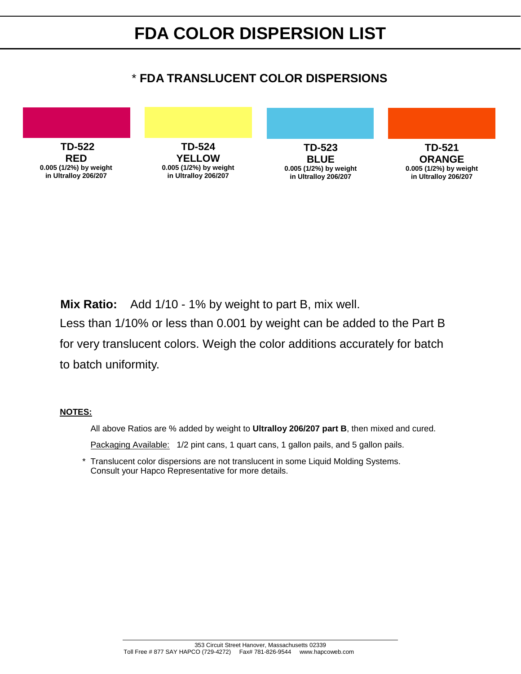# \* **FDA TRANSLUCENT COLOR DISPERSIONS**



**Mix Ratio:** Add 1/10 - 1% by weight to part B, mix well.

Less than 1/10% or less than 0.001 by weight can be added to the Part B for very translucent colors. Weigh the color additions accurately for batch to batch uniformity.

#### **NOTES:**

All above Ratios are % added by weight to **Ultralloy 206/207 part B**, then mixed and cured.

Packaging Available: 1/2 pint cans, 1 quart cans, 1 gallon pails, and 5 gallon pails.

 \* Translucent color dispersions are not translucent in some Liquid Molding Systems. Consult your Hapco Representative for more details.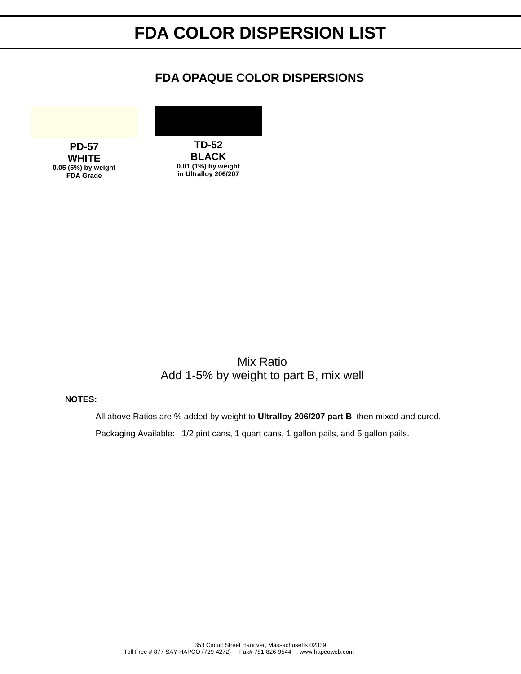# **FDA COLOR DISPERSION LIST**

## **FDA OPAQUE COLOR DISPERSIONS**



Mix Ratio Add 1-5% by weight to part B, mix well

#### **NOTES:**

 All above Ratios are % added by weight to **Ultralloy 206/207 part B**, then mixed and cured. Packaging Available: 1/2 pint cans, 1 quart cans, 1 gallon pails, and 5 gallon pails.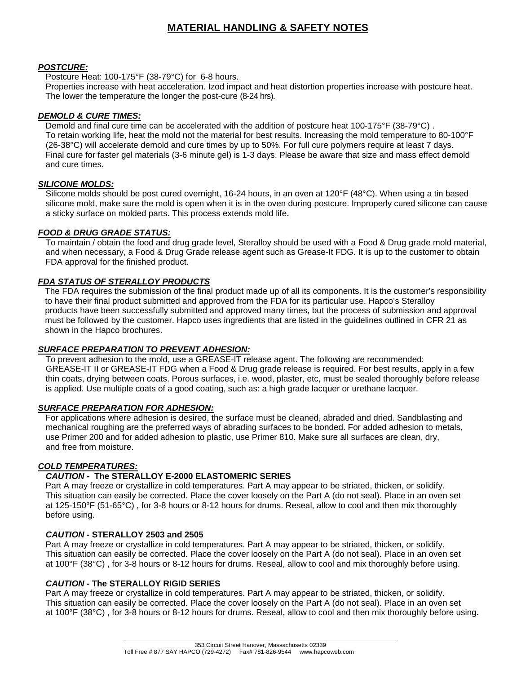### **MATERIAL HANDLING & SAFETY NOTES**

#### *POSTCURE:*

Postcure Heat: 100-175°F (38-79°C) for 6-8 hours.

Properties increase with heat acceleration. Izod impact and heat distortion properties increase with postcure heat. The lower the temperature the longer the post-cure (8-24 hrs).

#### *DEMOLD & CURE TIMES:*

Demold and final cure time can be accelerated with the addition of postcure heat 100-175°F (38-79°C) . To retain working life, heat the mold not the material for best results. Increasing the mold temperature to 80-100°F (26-38°C) will accelerate demold and cure times by up to 50%. For full cure polymers require at least 7 days. Final cure for faster gel materials (3-6 minute gel) is 1-3 days. Please be aware that size and mass effect demold and cure times.

#### *SILICONE MOLDS:*

Silicone molds should be post cured overnight, 16-24 hours, in an oven at 120°F (48°C). When using a tin based silicone mold, make sure the mold is open when it is in the oven during postcure. Improperly cured silicone can cause a sticky surface on molded parts. This process extends mold life.

#### *FOOD & DRUG GRADE STATUS:*

To maintain / obtain the food and drug grade level, Steralloy should be used with a Food & Drug grade mold material, and when necessary, a Food & Drug Grade release agent such as Grease-It FDG. It is up to the customer to obtain FDA approval for the finished product.

#### *FDA STATUS OF STERALLOY PRODUCTS*

 The FDA requires the submission of the final product made up of all its components. It is the customer's responsibility to have their final product submitted and approved from the FDA for its particular use. Hapco's Steralloy products have been successfully submitted and approved many times, but the process of submission and approval must be followed by the customer. Hapco uses ingredients that are listed in the guidelines outlined in CFR 21 as shown in the Hapco brochures.

#### *SURFACE PREPARATION TO PREVENT ADHESION:*

To prevent adhesion to the mold, use a GREASE-IT release agent. The following are recommended: GREASE-IT II or GREASE-IT FDG when a Food & Drug grade release is required. For best results, apply in a few thin coats, drying between coats. Porous surfaces, i.e. wood, plaster, etc, must be sealed thoroughly before release is applied. Use multiple coats of a good coating, such as: a high grade lacquer or urethane lacquer.

#### *SURFACE PREPARATION FOR ADHESION:*

For applications where adhesion is desired, the surface must be cleaned, abraded and dried. Sandblasting and mechanical roughing are the preferred ways of abrading surfaces to be bonded. For added adhesion to metals, use Primer 200 and for added adhesion to plastic, use Primer 810. Make sure all surfaces are clean, dry, and free from moisture.

#### *COLD TEMPERATURES:*

#### *CAUTION -* **The STERALLOY E-2000 ELASTOMERIC SERIES**

Part A may freeze or crystallize in cold temperatures. Part A may appear to be striated, thicken, or solidify. This situation can easily be corrected. Place the cover loosely on the Part A (do not seal). Place in an oven set at 125-150°F (51-65°C) , for 3-8 hours or 8-12 hours for drums. Reseal, allow to cool and then mix thoroughly before using.

#### *CAUTION -* **STERALLOY 2503 and 2505**

Part A may freeze or crystallize in cold temperatures. Part A may appear to be striated, thicken, or solidify. This situation can easily be corrected. Place the cover loosely on the Part A (do not seal). Place in an oven set at 100°F (38°C) , for 3-8 hours or 8-12 hours for drums. Reseal, allow to cool and mix thoroughly before using.

#### *CAUTION -* **The STERALLOY RIGID SERIES**

Part A may freeze or crystallize in cold temperatures. Part A may appear to be striated, thicken, or solidify. This situation can easily be corrected. Place the cover loosely on the Part A (do not seal). Place in an oven set at 100°F (38°C) , for 3-8 hours or 8-12 hours for drums. Reseal, allow to cool and then mix thoroughly before using.